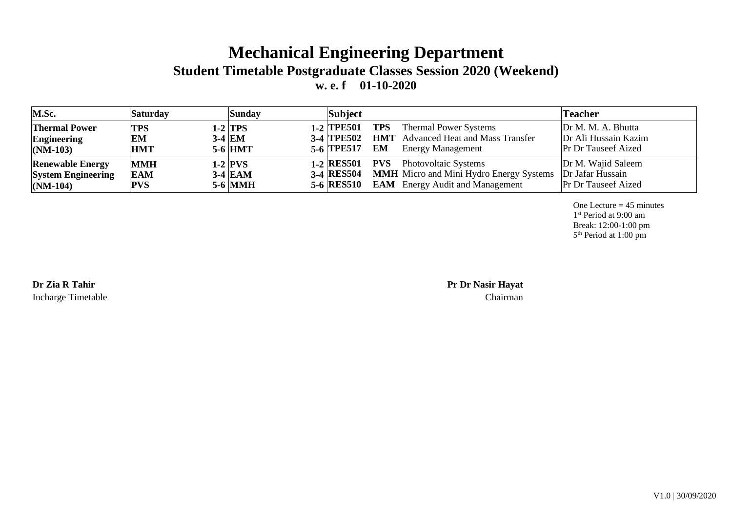## **Mechanical Engineering Department Student Timetable Postgraduate Classes Session 2020 (Weekend) w. e. f 01-10-2020**

| M.Sc.                                                              | <b>Saturday</b>                        | <b>Sunday</b>                            | Subject                                                                                                                                                                          | <b>Teacher</b>                                                           |
|--------------------------------------------------------------------|----------------------------------------|------------------------------------------|----------------------------------------------------------------------------------------------------------------------------------------------------------------------------------|--------------------------------------------------------------------------|
| <b>Thermal Power</b><br>Engineering<br>$(NM-103)$                  | <b>TPS</b><br>EM<br><b>HMT</b>         | 1-2  TPS<br>$3-4$ EM<br>$5-6$ HMT        | <b>TPS</b><br><b>Thermal Power Systems</b><br>$1-2$ TPE501<br>3-4 TPE502 HMT Advanced Heat and Mass Transfer<br>EM<br><b>Energy Management</b><br>5-6 TPE517                     | Dr M. M. A. Bhutta<br>Dr Ali Hussain Kazim<br><b>Pr Dr Tauseef Aized</b> |
| <b>Renewable Energy</b><br><b>System Engineering</b><br>$(NM-104)$ | <b>MMH</b><br><b>EAM</b><br><b>PVS</b> | $1-2$ PVS<br>$3-4$ EAM<br><b>5-6 MMH</b> | 1-2 RES501 PVS Photovoltaic Systems<br><b>3-4 RESS04</b> MMH Micro and Mini Hydro Energy Systems Dr Jafar Hussain<br><b>EAM</b> Energy Audit and Management<br><b>5-6 RES510</b> | Dr M. Wajid Saleem<br><b>Pr Dr Tauseef Aized</b>                         |

One Lecture  $= 45$  minutes 1 st Period at 9:00 am Break: 12:00-1:00 pm 5 th Period at 1:00 pm

Incharge Timetable Chairman

**Dr Zia R Tahir Pr Dr Nasir Hayat**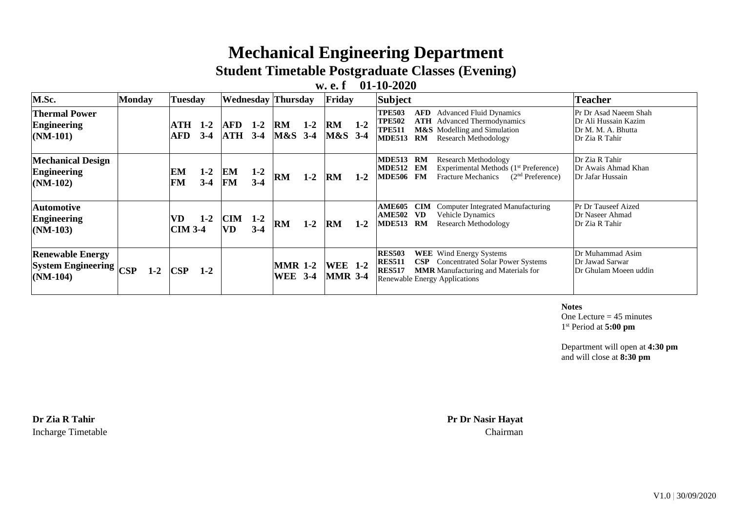## **Mechanical Engineering Department**

**Student Timetable Postgraduate Classes (Evening)**

## **w. e. f 01-10-2020**

| M.Sc.                                                                        | <b>Monday</b> | <b>Tuesday</b>            | <b>Wednesday</b> Thursday |                   |                  |                                  | Friday           |                                  | <b>Subject</b> |                                                                  |                               | Teacher                                                                                                                                                      |                                                                                       |
|------------------------------------------------------------------------------|---------------|---------------------------|---------------------------|-------------------|------------------|----------------------------------|------------------|----------------------------------|----------------|------------------------------------------------------------------|-------------------------------|--------------------------------------------------------------------------------------------------------------------------------------------------------------|---------------------------------------------------------------------------------------|
| <b>Thermal Power</b><br><b>Engineering</b><br>$(NM-101)$                     |               | ATH<br><b>AFD</b>         | $1 - 2$<br>$3 - 4$        | AFD<br><b>ATH</b> | $1-2$<br>$3-4$   | RM<br>M&S                        | $1 - 2$<br>$3-4$ | <b>RM</b><br>M&S 3-4             | $1-2$          | <b>TPE503</b><br><b>TPE502</b><br><b>TPE511</b><br><b>MDE513</b> | AFD<br>RM                     | <b>Advanced Fluid Dynamics</b><br><b>ATH</b> Advanced Thermodynamics<br>M&S Modelling and Simulation<br>Research Methodology                                 | Pr Dr Asad Naeem Shah<br>Dr Ali Hussain Kazim<br>Dr M. M. A. Bhutta<br>Dr Zia R Tahir |
| <b>Mechanical Design</b><br><b>Engineering</b><br>$(NM-102)$                 |               | EM<br><b>FM</b>           | $1-2$<br>$3 - 4$          | EM<br><b>FM</b>   | $1 - 2$<br>$3-4$ | RM                               | $1 - 2$          | <b>RM</b>                        | $1 - 2$        | <b>MDE513</b><br>MDE512 EM<br><b>MDE506 FM</b>                   | RM                            | <b>Research Methodology</b><br>Experimental Methods (1 <sup>st</sup> Preference)<br><b>Fracture Mechanics</b><br>$(2nd$ Preference)                          | Dr Zia R Tahir<br>Dr Awais Ahmad Khan<br>Dr Jafar Hussain                             |
| Automotive<br><b>Engineering</b><br>$(NM-103)$                               |               | VD.<br>$\mathbf{CIM}$ 3-4 | $1-2$                     | <b>CIM</b><br>VD. | $1 - 2$<br>$3-4$ | RM                               | $1 - 2$          | <b>RM</b>                        | $1 - 2$        | <b>AME605</b><br><b>AME502</b><br><b>MDE513</b>                  | <b>CIM</b><br><b>VD</b><br>RM | Computer Integrated Manufacturing<br>Vehicle Dynamics<br>Research Methodology                                                                                | Pr Dr Tauseef Aized<br>Dr Naseer Ahmad<br>Dr Zia R Tahir                              |
| <b>Renewable Energy</b><br>System Engineering $ _{\text{CSP}}$<br>$(NM-104)$ | $1-2$         | <b>CSP</b>                | $1 - 2$                   |                   |                  | <b>MMR 1-2</b><br><b>WEE</b> 3-4 |                  | <b>WEE</b> 1-2<br><b>MMR</b> 3-4 |                | <b>RES503</b><br><b>RES511</b><br><b>RES517</b>                  |                               | <b>WEE</b> Wind Energy Systems<br><b>CSP</b> Concentrated Solar Power Systems<br><b>MMR</b> Manufacturing and Materials for<br>Renewable Energy Applications | Dr Muhammad Asim<br>Dr Jawad Sarwar<br>Dr Ghulam Moeen uddin                          |

**Notes**

One Lecture  $= 45$  minutes 1 st Period at **5:00 pm**

Department will open at **4:30 pm** and will close at **8:30 pm**

Incharge Timetable Chairman

**Dr Zia R Tahir Pr Dr Nasir Hayat**